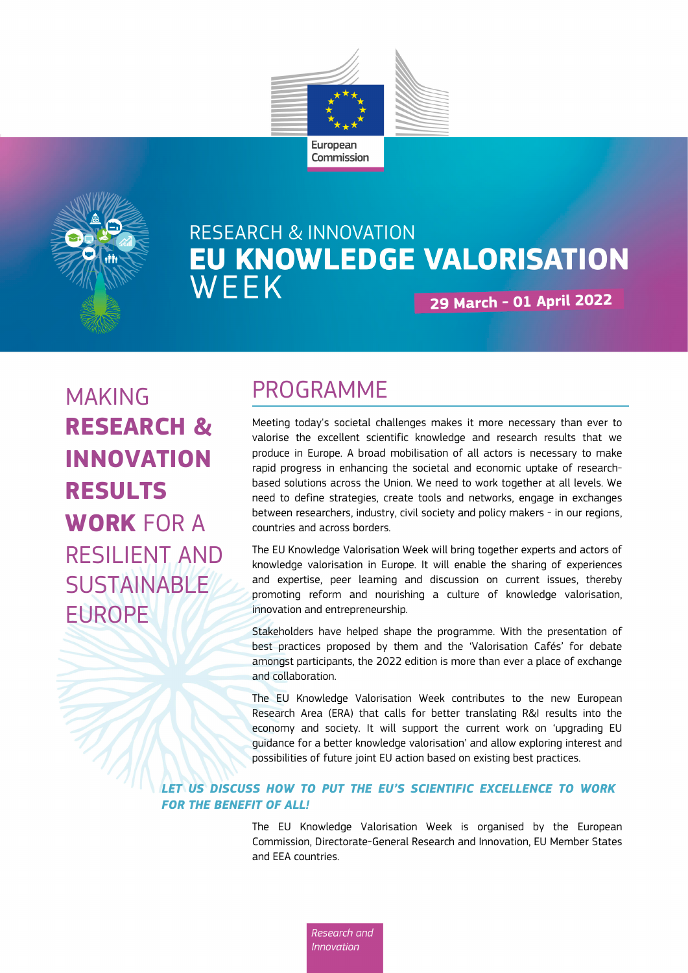



# **RESEARCH & INNOVATION** EU KNOWLEDGE VALORISATION WEEK 29 March - 01 April 2022

MAKING **RESEARCH & INNOVATION RESULTS WORK** FOR A RESILIENT AND SUSTAINABLE EUROPE

# PROGRAMME

Meeting today's societal challenges makes it more necessary than ever to valorise the excellent scientific knowledge and research results that we produce in Europe. A broad mobilisation of all actors is necessary to make rapid progress in enhancing the societal and economic uptake of researchbased solutions across the Union. We need to work together at all levels. We need to define strategies, create tools and networks, engage in exchanges between researchers, industry, civil society and policy makers - in our regions, countries and across borders.

The EU Knowledge Valorisation Week will bring together experts and actors of knowledge valorisation in Europe. It will enable the sharing of experiences and expertise, peer learning and discussion on current issues, thereby promoting reform and nourishing a culture of knowledge valorisation, innovation and entrepreneurship.

Stakeholders have helped shape the programme. With the presentation of best practices proposed by them and the 'Valorisation Cafés' for debate amongst participants, the 2022 edition is more than ever a place of exchange and collaboration.

The EU Knowledge Valorisation Week contributes to the new European Research Area (ERA) that calls for better translating R&I results into the economy and society. It will support the current work on 'upgrading EU guidance for a better knowledge valorisation' and allow exploring interest and possibilities of future joint EU action based on existing best practices.

### *LET US DISCUSS HOW TO PUT THE EU'S SCIENTIFIC EXCELLENCE TO WORK FOR THE BENEFIT OF ALL!*

Research and **Innovation** 

The EU Knowledge Valorisation Week is organised by the European Commission, Directorate-General Research and Innovation, EU Member States and EEA countries.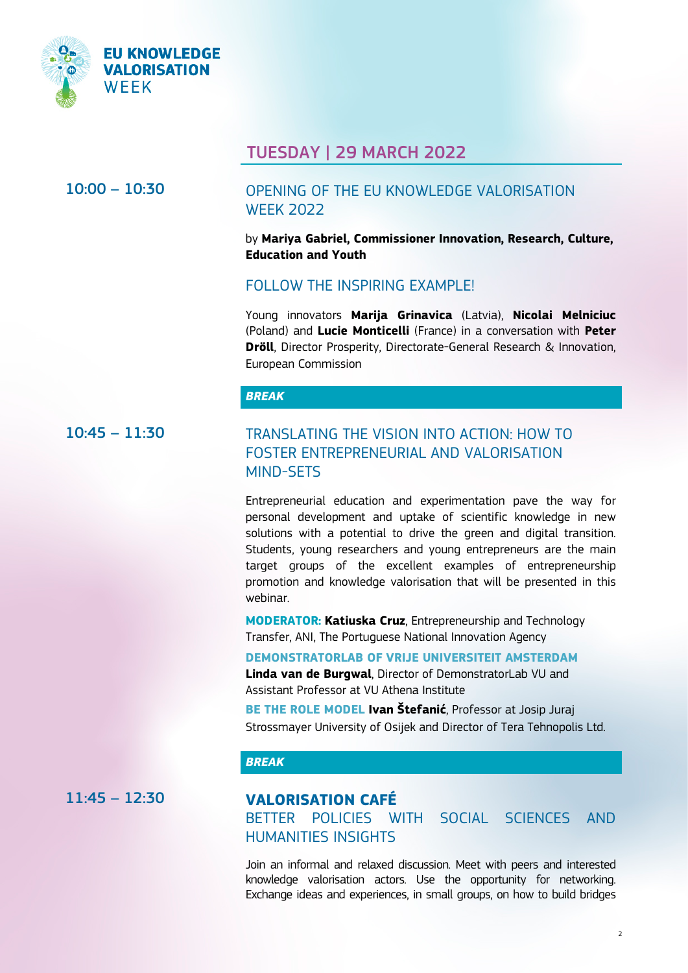

## TUESDAY | 29 MARCH 2022

## 10:00 – 10:30 OPENING OF THE EU KNOWLEDGE VALORISATION WEEK 2022

by **Mariya Gabriel, Commissioner Innovation, Research, Culture, Education and Youth**

### FOLLOW THE INSPIRING EXAMPLE!

Young innovators **Marija Grinavica** (Latvia), **Nicolai Melniciuc** (Poland) and **Lucie Monticelli** (France) in a conversation with **Peter Dröll**, Director Prosperity, Directorate-General Research & Innovation, European Commission

#### *BREAK*

## 10:45 – 11:30 TRANSLATING THE VISION INTO ACTION: HOW TO FOSTER ENTREPRENEURIAL AND VALORISATION MIND-SETS

Entrepreneurial education and experimentation pave the way for personal development and uptake of scientific knowledge in new solutions with a potential to drive the green and digital transition. Students, young researchers and young entrepreneurs are the main target groups of the excellent examples of entrepreneurship promotion and knowledge valorisation that will be presented in this webinar.

**MODERATOR: Katiuska Cruz**, Entrepreneurship and Technology Transfer, ANI, The Portuguese National Innovation Agency

#### **[DEMONSTRATORLAB OF VRIJE UNIVERSITEIT AMSTERDAM](https://ec.europa.eu/research-and-innovation/en/research-area/industrial-research-and-innovation/eu-valorisation-policy/knowledge-valorisation-platform/repository/demonstrator-lab-where-entrepreneurial-academics-become-academic-entrepreneurs)**

**Linda van de Burgwal**, Director of DemonstratorLab VU and Assistant Professor at VU Athena Institute

**[BE THE ROLE MODEL](https://ec.europa.eu/research-and-innovation/en/research-area/industrial-research-and-innovation/eu-valorisation-policy/knowledge-valorisation-platform/repository/be-role-model) Ivan Štefanić**, Professor at Josip Juraj Strossmayer University of Osijek and Director of Tera Tehnopolis Ltd.

### *BREAK*

## 11:45 – 12:30 **VALORISATION CAFÉ**

BETTER POLICIES WITH SOCIAL SCIENCES AND HUMANITIES INSIGHTS

Join an informal and relaxed discussion. Meet with peers and interested knowledge valorisation actors. Use the opportunity for networking. Exchange ideas and experiences, in small groups, on how to build bridges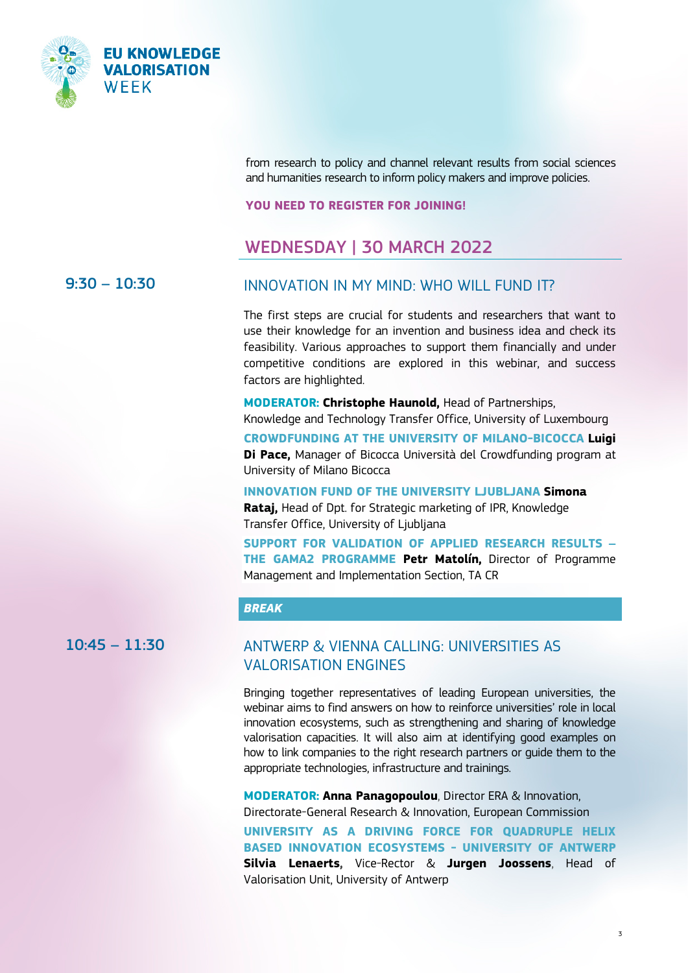

from research to policy and channel relevant results from social sciences and humanities research to inform policy makers and improve policies.

**YOU NEED TO REGISTER FOR JOINING!**

## WEDNESDAY | 30 MARCH 2022

## 9:30 – 10:30 INNOVATION IN MY MIND: WHO WILL FUND IT?

The first steps are crucial for students and researchers that want to use their knowledge for an invention and business idea and check its feasibility. Various approaches to support them financially and under competitive conditions are explored in this webinar, and success factors are highlighted.

**MODERATOR: Christophe Haunold,** Head of Partnerships, Knowledge and Technology Transfer Office, University of Luxembourg **[CROWDFUNDING AT THE UNIVERSITY OF MILANO-BICOCCA](https://ec.europa.eu/research-and-innovation/en/research-area/industrial-research-and-innovation/eu-valorisation-policy/knowledge-valorisation-platform/repository/crowdfunding-university-born-projects-biunicrowd) Luigi Di Pace,** Manager of Bicocca Università del Crowdfunding program at University of Milano Bicocca

**[INNOVATION FUND OF THE UNIVERSITY LJUBLJANA](https://ec.europa.eu/research-and-innovation/en/research-area/industrial-research-and-innovation/eu-valorisation-policy/knowledge-valorisation-platform/repository/innovation-fund-university-ljubljana) Simona Rataj,** Head of Dpt. for Strategic marketing of IPR, Knowledge Transfer Office, University of Ljubljana

**[SUPPORT FOR VALIDATION OF APPLIED RESEARCH RESULTS –](https://ec.europa.eu/research-and-innovation/en/research-area/industrial-research-and-innovation/eu-valorisation-policy/knowledge-valorisation-platform/repository/support-validation-applied-research-results) [THE GAMA2 PROGRAMME](https://ec.europa.eu/research-and-innovation/en/research-area/industrial-research-and-innovation/eu-valorisation-policy/knowledge-valorisation-platform/repository/support-validation-applied-research-results) Petr Matolín,** Director of Programme Management and Implementation Section, TA CR

### *BREAK*

## 10:45 – 11:30 ANTWERP & VIENNA CALLING: UNIVERSITIES AS VALORISATION ENGINES

Bringing together representatives of leading European universities, the webinar aims to find answers on how to reinforce universities' role in local innovation ecosystems, such as strengthening and sharing of knowledge valorisation capacities. It will also aim at identifying good examples on how to link companies to the right research partners or guide them to the appropriate technologies, infrastructure and trainings.

**MODERATOR: Anna Panagopoulou**, Director ERA & Innovation, Directorate-General Research & Innovation, European Commission

**[UNIVERSITY AS A DRIVING FORCE FOR QUADRUPLE HELIX](https://ec.europa.eu/research-and-innovation/en/research-area/industrial-research-and-innovation/eu-valorisation-policy/knowledge-valorisation-platform/repository/university-driving-force-quadruple-helix-based-innovation-ecosystems)  [BASED INNOVATION ECOSYSTEMS](https://ec.europa.eu/research-and-innovation/en/research-area/industrial-research-and-innovation/eu-valorisation-policy/knowledge-valorisation-platform/repository/university-driving-force-quadruple-helix-based-innovation-ecosystems) - UNIVERSITY OF ANTWERP Silvia Lenaerts,** Vice-Rector & **Jurgen Joossens**, Head of Valorisation Unit, University of Antwerp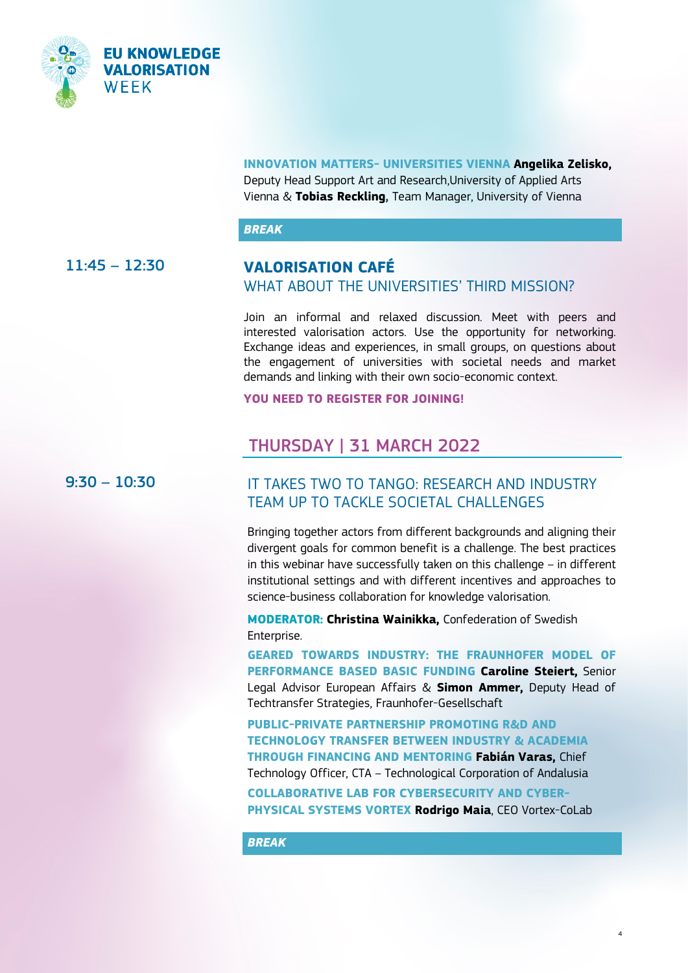

#### **[INNOVATION MATTERS-](https://ec.europa.eu/research-and-innovation/en/research-area/industrial-research-and-innovation/eu-valorisation-policy/knowledge-valorisation-platform/repository/innovation-matters) UNIVERSITIES VIENNA Angelika Zelisko,**

Deputy Head Support Art and Research,University of Applied Arts Vienna & **Tobias Reckling,** Team Manager, University of Vienna

#### *BREAK*

### 11:45 – 12:30 **VALORISATION CAFÉ** WHAT ABOUT THE UNIVERSITIES' THIRD MISSION?

Join an informal and relaxed discussion. Meet with peers and interested valorisation actors. Use the opportunity for networking. Exchange ideas and experiences, in small groups, on questions about the engagement of universities with societal needs and market demands and linking with their own socio-economic context.

**YOU NEED TO REGISTER FOR JOINING!**

## THURSDAY | 31 MARCH 2022

### 9:30 – 10:30 IT TAKES TWO TO TANGO: RESEARCH AND INDUSTRY TEAM UP TO TACKLE SOCIETAL CHALLENGES

Bringing together actors from different backgrounds and aligning their divergent goals for common benefit is a challenge. The best practices in this webinar have successfully taken on this challenge – in different institutional settings and with different incentives and approaches to science-business collaboration for knowledge valorisation.

**MODERATOR: Christina Wainikka,** Confederation of Swedish Enterprise.

**[GEARED TOWARDS INDUSTRY: THE FRAUNHOFER MODEL OF](https://ec.europa.eu/research-and-innovation/en/research-area/industrial-research-and-innovation/eu-valorisation-policy/knowledge-valorisation-platform/repository/fraunhofer-model-performance-based-basic-funding)  [PERFORMANCE BASED BASIC FUNDING](https://ec.europa.eu/research-and-innovation/en/research-area/industrial-research-and-innovation/eu-valorisation-policy/knowledge-valorisation-platform/repository/fraunhofer-model-performance-based-basic-funding) Caroline Steiert,** Senior Legal Advisor European Affairs & **Simon Ammer,** Deputy Head of Techtransfer Strategies, Fraunhofer-Gesellschaft

**[PUBLIC-PRIVATE PARTNERSHIP PROMOTING R&D AND](https://ec.europa.eu/research-and-innovation/en/research-area/industrial-research-and-innovation/eu-valorisation-policy/knowledge-valorisation-platform/repository/public-private-partnership-promoting-rd-and-technology-transfer-between-industry-and-academia)  [TECHNOLOGY TRANSFER BETWEEN INDUSTRY & ACADEMIA](https://ec.europa.eu/research-and-innovation/en/research-area/industrial-research-and-innovation/eu-valorisation-policy/knowledge-valorisation-platform/repository/public-private-partnership-promoting-rd-and-technology-transfer-between-industry-and-academia)  [THROUGH FINANCING AND MENTORING](https://ec.europa.eu/research-and-innovation/en/research-area/industrial-research-and-innovation/eu-valorisation-policy/knowledge-valorisation-platform/repository/public-private-partnership-promoting-rd-and-technology-transfer-between-industry-and-academia) Fabián Varas,** Chief Technology Officer, CTA – Technological Corporation of Andalusia

**[COLLABORATIVE LAB FOR CYBERSECURITY AND CYBER-](https://ec.europa.eu/research-and-innovation/en/research-area/industrial-research-and-innovation/eu-valorisation-policy/knowledge-valorisation-platform/repository/collaborative-laboratory)[PHYSICAL SYSTEMS VORTEX](https://ec.europa.eu/research-and-innovation/en/research-area/industrial-research-and-innovation/eu-valorisation-policy/knowledge-valorisation-platform/repository/collaborative-laboratory) Rodrigo Maia**, CEO Vortex-CoLab

4

*BREAK*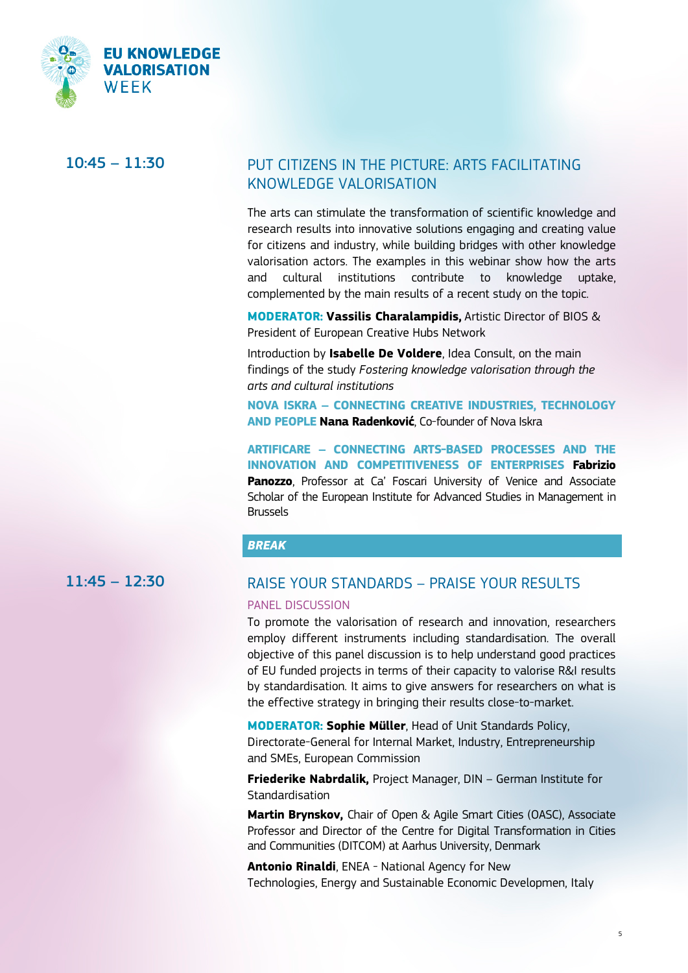

## 10:45 – 11:30 PUT CITIZENS IN THE PICTURE: ARTS FACILITATING KNOWLEDGE VALORISATION

The arts can stimulate the transformation of scientific knowledge and research results into innovative solutions engaging and creating value for citizens and industry, while building bridges with other knowledge valorisation actors. The examples in this webinar show how the arts and cultural institutions contribute to knowledge uptake, complemented by the main results of a recent study on the topic.

**MODERATOR: Vassilis Charalampidis,** Artistic Director of BIOS & President of European Creative Hubs Network

Introduction by **Isabelle De Voldere**, Idea Consult, on the main findings of the study *Fostering knowledge valorisation through the arts and cultural institutions*

**NOVA ISKRA – CONNECTING CREATIVE INDUSTRIES, TECHNOLOGY AND PEOPLE Nana Radenković**, Co-founder of Nova Iskra

**ARTIFICARE – CONNECTING ARTS-BASED PROCESSES AND THE INNOVATION AND COMPETITIVENESS OF ENTERPRISES Fabrizio Panozzo**, Professor at Ca' Foscari University of Venice and Associate Scholar of the European Institute for Advanced Studies in Management in Brussels

### *BREAK*

# 11:45 – 12:30 RAISE YOUR STANDARDS – PRAISE YOUR RESULTS

#### PANEL DISCUSSION

To promote the valorisation of research and innovation, researchers employ different instruments including standardisation. The overall objective of this panel discussion is to help understand good practices of EU funded projects in terms of their capacity to valorise R&I results by standardisation. It aims to give answers for researchers on what is the effective strategy in bringing their results close-to-market.

**MODERATOR: Sophie Müller**, Head of Unit Standards Policy, Directorate-General for Internal Market, Industry, Entrepreneurship and SMEs, European Commission

**Friederike Nabrdalik,** Project Manager, DIN – German Institute for **Standardisation** 

**Martin Brynskov,** Chair of Open & Agile Smart Cities (OASC), Associate Professor and Director of the Centre for Digital Transformation in Cities and Communities (DITCOM) at Aarhus University, Denmark

**Antonio Rinaldi**, ENEA - National Agency for New Technologies, Energy and Sustainable Economic Developmen, Italy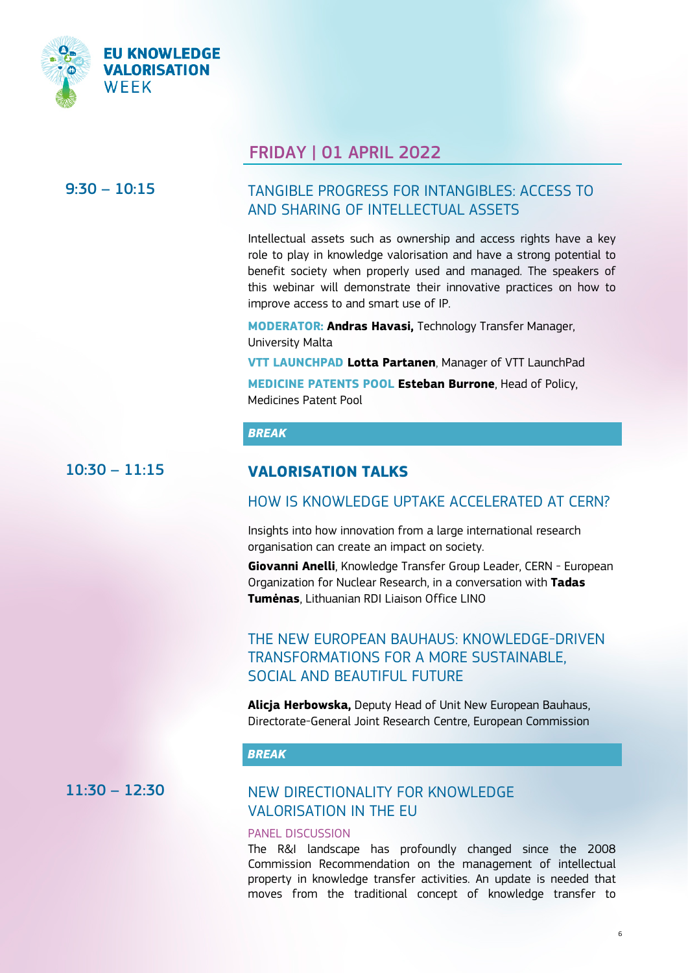

## FRIDAY | 01 APRIL 2022

## 9:30 – 10:15 TANGIBLE PROGRESS FOR INTANGIBLES: ACCESS TO AND SHARING OF INTELLECTUAL ASSETS

Intellectual assets such as ownership and access rights have a key role to play in knowledge valorisation and have a strong potential to benefit society when properly used and managed. The speakers of this webinar will demonstrate their innovative practices on how to improve access to and smart use of IP.

**MODERATOR: Andras Havasi,** Technology Transfer Manager, University Malta

**[VTT LAUNCHPAD](https://ec.europa.eu/research-and-innovation/en/research-area/industrial-research-and-innovation/eu-valorisation-policy/knowledge-valorisation-platform/repository/vtt-launchpad) Lotta Partanen**, Manager of VTT LaunchPad

**MEDICINE PATENTS POOL Esteban Burrone**, Head of Policy, Medicines Patent Pool

### *BREAK*

## 10:30 – 11:15 **VALORISATION TALKS**

### HOW IS KNOWLEDGE UPTAKE ACCELERATED AT CERN?

Insights into how innovation from a large international research organisation can create an impact on society.

**Giovanni Anelli**, Knowledge Transfer Group Leader, CERN - European Organization for Nuclear Research, in a conversation with **Tadas Tumėnas**, Lithuanian RDI Liaison Office LINO

## THE NEW EUROPEAN BAUHAUS: KNOWLEDGE-DRIVEN TRANSFORMATIONS FOR A MORE SUSTAINABLE, SOCIAL AND BEAUTIFUL FUTURE

**Alicja Herbowska,** Deputy Head of Unit New European Bauhaus, Directorate-General Joint Research Centre, European Commission

### *BREAK*

## 11:30 – 12:30 NEW DIRECTIONALITY FOR KNOWLEDGE VALORISATION IN THE EU

### PANEL DISCUSSION

The R&I landscape has profoundly changed since the 2008 Commission Recommendation on the management of intellectual property in knowledge transfer activities. An update is needed that moves from the traditional concept of knowledge transfer to